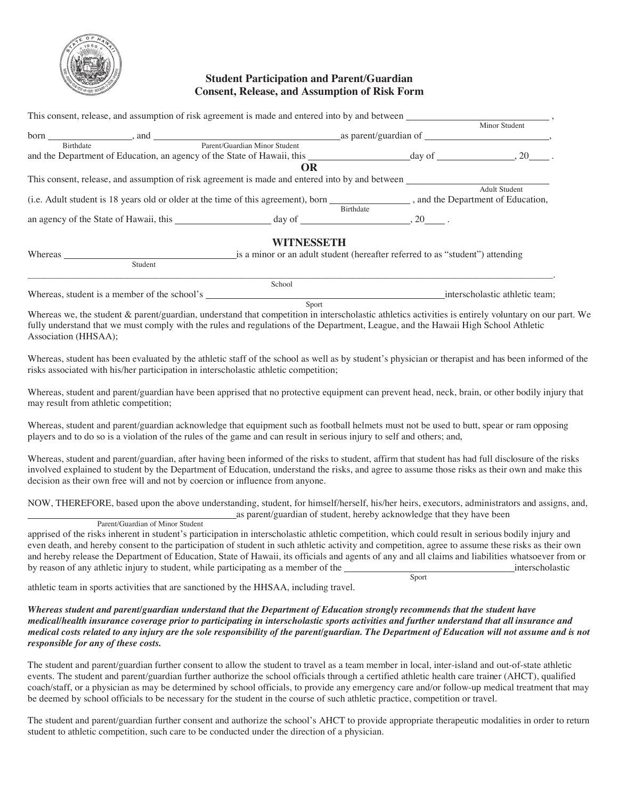

## **Student Participation and Parent/Guardian Consent, Release, and Assumption of Risk Form**

|                  |                                                                                                                                                                                                                                | This consent, release, and assumption of risk agreement is made and entered into by and between |           |                      |  |  |
|------------------|--------------------------------------------------------------------------------------------------------------------------------------------------------------------------------------------------------------------------------|-------------------------------------------------------------------------------------------------|-----------|----------------------|--|--|
|                  |                                                                                                                                                                                                                                |                                                                                                 |           | Minor Student        |  |  |
|                  |                                                                                                                                                                                                                                |                                                                                                 |           |                      |  |  |
| <b>Birthdate</b> |                                                                                                                                                                                                                                | Parent/Guardian Minor Student                                                                   |           |                      |  |  |
|                  |                                                                                                                                                                                                                                |                                                                                                 |           |                      |  |  |
|                  |                                                                                                                                                                                                                                | OR                                                                                              |           |                      |  |  |
|                  |                                                                                                                                                                                                                                | This consent, release, and assumption of risk agreement is made and entered into by and between |           |                      |  |  |
|                  |                                                                                                                                                                                                                                |                                                                                                 |           | <b>Adult Student</b> |  |  |
|                  | (i.e. Adult student is 18 years old or older at the time of this agreement), born ________________, and the Department of Education,                                                                                           |                                                                                                 |           |                      |  |  |
|                  |                                                                                                                                                                                                                                |                                                                                                 | Birthdate |                      |  |  |
|                  |                                                                                                                                                                                                                                |                                                                                                 |           |                      |  |  |
|                  |                                                                                                                                                                                                                                | WITNESSETH                                                                                      |           |                      |  |  |
|                  | Whereas a contract the contract of the contract of the contract of the contract of the contract of the contract of the contract of the contract of the contract of the contract of the contract of the contract of the contrac | is a minor or an adult student (hereafter referred to as "student") attending                   |           |                      |  |  |
|                  | Student                                                                                                                                                                                                                        |                                                                                                 |           |                      |  |  |

|                                                  | School |                                |
|--------------------------------------------------|--------|--------------------------------|
| Whereas.<br>student is a member of<br>the school |        | interscholastic athletic team: |

Sport

Whereas we, the student & parent/guardian, understand that competition in interscholastic athletics activities is entirely voluntary on our part. We fully understand that we must comply with the rules and regulations of the Department, League, and the Hawaii High School Athletic Association (HHSAA);

Whereas, student has been evaluated by the athletic staff of the school as well as by student's physician or therapist and has been informed of the risks associated with his/her participation in interscholastic athletic competition;

Whereas, student and parent/guardian have been apprised that no protective equipment can prevent head, neck, brain, or other bodily injury that may result from athletic competition;

Whereas, student and parent/guardian acknowledge that equipment such as football helmets must not be used to butt, spear or ram opposing players and to do so is a violation of the rules of the game and can result in serious injury to self and others; and,

Whereas, student and parent/guardian, after having been informed of the risks to student, affirm that student has had full disclosure of the risks involved explained to student by the Department of Education, understand the risks, and agree to assume those risks as their own and make this decision as their own free will and not by coercion or influence from anyone.

NOW, THEREFORE, based upon the above understanding, student, for himself/herself, his/her heirs, executors, administrators and assigns, and, as parent/guardian of student, hereby acknowledge that they have been

Parent/Guardian of Minor Student

apprised of the risks inherent in student's participation in interscholastic athletic competition, which could result in serious bodily injury and even death, and hereby consent to the participation of student in such athletic activity and competition, agree to assume these risks as their own and hereby release the Department of Education, State of Hawaii, its officials and agents of any and all claims and liabilities whatsoever from or by reason of any athletic injury to student, while participating as a member of the interscholastic Sport

athletic team in sports activities that are sanctioned by the HHSAA, including travel.

*Whereas student and parent/guardian understand that the Department of Education strongly recommends that the student have medical/health insurance coverage prior to participating in interscholastic sports activities and further understand that all insurance and medical costs related to any injury are the sole responsibility of the parent/guardian. The Department of Education will not assume and is not responsible for any of these costs.* 

The student and parent/guardian further consent to allow the student to travel as a team member in local, inter-island and out-of-state athletic events. The student and parent/guardian further authorize the school officials through a certified athletic health care trainer (AHCT), qualified coach/staff, or a physician as may be determined by school officials, to provide any emergency care and/or follow-up medical treatment that may be deemed by school officials to be necessary for the student in the course of such athletic practice, competition or travel.

The student and parent/guardian further consent and authorize the school's AHCT to provide appropriate therapeutic modalities in order to return student to athletic competition, such care to be conducted under the direction of a physician.